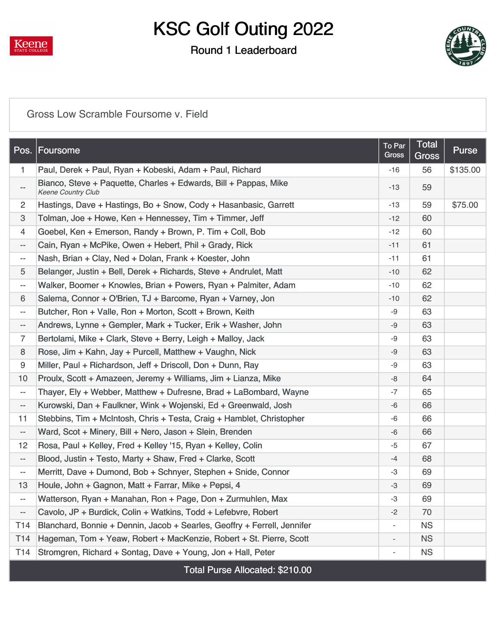

## KSC Golf Outing 2022

### Round 1 Leaderboard



#### [Gross Low Scramble Foursome v. Field](https://static.golfgenius.com/v2tournaments/8529883671044314736?called_from=&round_index=1)

| Pos.                      | Foursome                                                                                      | To Par<br>Gross | <b>Total</b><br>Gross | <b>Purse</b> |
|---------------------------|-----------------------------------------------------------------------------------------------|-----------------|-----------------------|--------------|
| $\mathbf{1}$              | Paul, Derek + Paul, Ryan + Kobeski, Adam + Paul, Richard                                      | $-16$           | 56                    | \$135.00     |
| $\overline{\phantom{a}}$  | Bianco, Steve + Paquette, Charles + Edwards, Bill + Pappas, Mike<br><b>Keene Country Club</b> | -13             | 59                    |              |
| $\overline{2}$            | Hastings, Dave + Hastings, Bo + Snow, Cody + Hasanbasic, Garrett                              | $-13$           | 59                    | \$75.00      |
| $\ensuremath{\mathsf{3}}$ | Tolman, Joe + Howe, Ken + Hennessey, Tim + Timmer, Jeff                                       | $-12$           | 60                    |              |
| 4                         | Goebel, Ken + Emerson, Randy + Brown, P. Tim + Coll, Bob                                      | $-12$           | 60                    |              |
| $\overline{\phantom{a}}$  | Cain, Ryan + McPike, Owen + Hebert, Phil + Grady, Rick                                        | $-11$           | 61                    |              |
| $\overline{\phantom{a}}$  | Nash, Brian + Clay, Ned + Dolan, Frank + Koester, John                                        | $-11$           | 61                    |              |
| 5                         | Belanger, Justin + Bell, Derek + Richards, Steve + Andrulet, Matt                             | $-10$           | 62                    |              |
| $\overline{\phantom{a}}$  | Walker, Boomer + Knowles, Brian + Powers, Ryan + Palmiter, Adam                               | $-10$           | 62                    |              |
| 6                         | Salema, Connor + O'Brien, TJ + Barcome, Ryan + Varney, Jon                                    | $-10$           | 62                    |              |
| $\overline{\phantom{a}}$  | Butcher, Ron + Valle, Ron + Morton, Scott + Brown, Keith                                      | -9              | 63                    |              |
| $\overline{\phantom{a}}$  | Andrews, Lynne + Gempler, Mark + Tucker, Erik + Washer, John                                  | -9              | 63                    |              |
| $\overline{7}$            | Bertolami, Mike + Clark, Steve + Berry, Leigh + Malloy, Jack                                  | -9              | 63                    |              |
| 8                         | Rose, Jim + Kahn, Jay + Purcell, Matthew + Vaughn, Nick                                       | -9              | 63                    |              |
| 9                         | Miller, Paul + Richardson, Jeff + Driscoll, Don + Dunn, Ray                                   | -9              | 63                    |              |
| 10                        | Proulx, Scott + Amazeen, Jeremy + Williams, Jim + Lianza, Mike                                | -8              | 64                    |              |
| $\overline{\phantom{a}}$  | Thayer, Ely + Webber, Matthew + Dufresne, Brad + LaBombard, Wayne                             | $-7$            | 65                    |              |
| $\overline{\phantom{a}}$  | Kurowski, Dan + Faulkner, Wink + Wojenski, Ed + Greenwald, Josh                               | -6              | 66                    |              |
| 11                        | Stebbins, Tim + McIntosh, Chris + Testa, Craig + Hamblet, Christopher                         | -6              | 66                    |              |
| $\overline{\phantom{a}}$  | Ward, Scot + Minery, Bill + Nero, Jason + Slein, Brenden                                      | -6              | 66                    |              |
| 12                        | Rosa, Paul + Kelley, Fred + Kelley '15, Ryan + Kelley, Colin                                  | $-5$            | 67                    |              |
| $\overline{\phantom{a}}$  | Blood, Justin + Testo, Marty + Shaw, Fred + Clarke, Scott                                     | $-4$            | 68                    |              |
| $- -$                     | Merritt, Dave + Dumond, Bob + Schnyer, Stephen + Snide, Connor                                | -3              | 69                    |              |
| 13                        | Houle, John + Gagnon, Matt + Farrar, Mike + Pepsi, 4                                          | $-3$            | 69                    |              |
|                           | Watterson, Ryan + Manahan, Ron + Page, Don + Zurmuhlen, Max                                   | -3              | 69                    |              |
| $\overline{\phantom{a}}$  | Cavolo, JP + Burdick, Colin + Watkins, Todd + Lefebvre, Robert                                | -2              | 70                    |              |
| T <sub>14</sub>           | Blanchard, Bonnie + Dennin, Jacob + Searles, Geoffry + Ferrell, Jennifer                      |                 | <b>NS</b>             |              |
| T14                       | Hageman, Tom + Yeaw, Robert + MacKenzie, Robert + St. Pierre, Scott                           |                 | <b>NS</b>             |              |
| T <sub>14</sub>           | Stromgren, Richard + Sontag, Dave + Young, Jon + Hall, Peter                                  |                 | <b>NS</b>             |              |
|                           | Total Purse Allocated: \$210.00                                                               |                 |                       |              |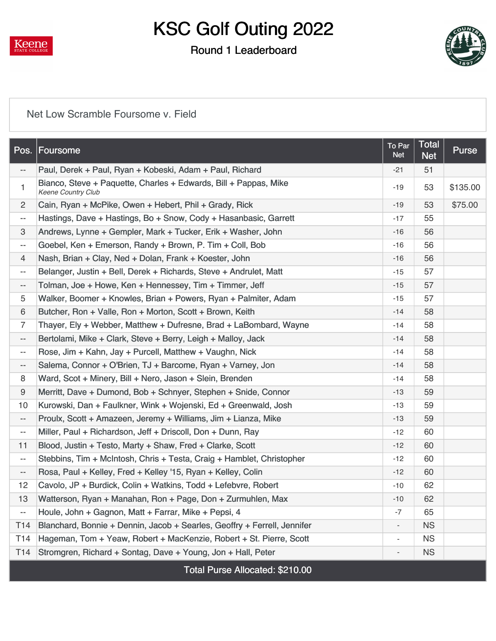

# KSC Golf Outing 2022

### Round 1 Leaderboard



#### [Net Low Scramble Foursome v. Field](https://static.golfgenius.com/v2tournaments/8529883674835965553?called_from=&round_index=1)

| Pos.                     | <b>Foursome</b>                                                                               | To Par<br><b>Net</b>     | <b>Total</b><br><b>Net</b> | Purse    |
|--------------------------|-----------------------------------------------------------------------------------------------|--------------------------|----------------------------|----------|
| $\overline{\phantom{a}}$ | Paul, Derek + Paul, Ryan + Kobeski, Adam + Paul, Richard                                      | $-21$                    | 51                         |          |
| 1                        | Bianco, Steve + Paquette, Charles + Edwards, Bill + Pappas, Mike<br><b>Keene Country Club</b> | $-19$                    | 53                         | \$135.00 |
| $\overline{2}$           | Cain, Ryan + McPike, Owen + Hebert, Phil + Grady, Rick                                        | $-19$                    | 53                         | \$75.00  |
| $\overline{\phantom{a}}$ | Hastings, Dave + Hastings, Bo + Snow, Cody + Hasanbasic, Garrett                              | $-17$                    | 55                         |          |
| 3                        | Andrews, Lynne + Gempler, Mark + Tucker, Erik + Washer, John                                  | $-16$                    | 56                         |          |
| $\overline{\phantom{a}}$ | Goebel, Ken + Emerson, Randy + Brown, P. Tim + Coll, Bob                                      | $-16$                    | 56                         |          |
| $\overline{4}$           | Nash, Brian + Clay, Ned + Dolan, Frank + Koester, John                                        | $-16$                    | 56                         |          |
| $\overline{\phantom{a}}$ | Belanger, Justin + Bell, Derek + Richards, Steve + Andrulet, Matt                             | $-15$                    | 57                         |          |
| $\overline{\phantom{a}}$ | Tolman, Joe + Howe, Ken + Hennessey, Tim + Timmer, Jeff                                       | $-15$                    | 57                         |          |
| 5                        | Walker, Boomer + Knowles, Brian + Powers, Ryan + Palmiter, Adam                               | $-15$                    | 57                         |          |
| 6                        | Butcher, Ron + Valle, Ron + Morton, Scott + Brown, Keith                                      | $-14$                    | 58                         |          |
| $\overline{7}$           | Thayer, Ely + Webber, Matthew + Dufresne, Brad + LaBombard, Wayne                             | $-14$                    | 58                         |          |
| $- -$                    | Bertolami, Mike + Clark, Steve + Berry, Leigh + Malloy, Jack                                  | $-14$                    | 58                         |          |
| $\overline{\phantom{a}}$ | Rose, Jim + Kahn, Jay + Purcell, Matthew + Vaughn, Nick                                       | $-14$                    | 58                         |          |
| $\overline{\phantom{a}}$ | Salema, Connor + O'Brien, TJ + Barcome, Ryan + Varney, Jon                                    | $-14$                    | 58                         |          |
| 8                        | Ward, Scot + Minery, Bill + Nero, Jason + Slein, Brenden                                      | $-14$                    | 58                         |          |
| 9                        | Merritt, Dave + Dumond, Bob + Schnyer, Stephen + Snide, Connor                                | $-13$                    | 59                         |          |
| 10                       | Kurowski, Dan + Faulkner, Wink + Wojenski, Ed + Greenwald, Josh                               | $-13$                    | 59                         |          |
| $\overline{\phantom{a}}$ | Proulx, Scott + Amazeen, Jeremy + Williams, Jim + Lianza, Mike                                | $-13$                    | 59                         |          |
| $-\, -$                  | Miller, Paul + Richardson, Jeff + Driscoll, Don + Dunn, Ray                                   | $-12$                    | 60                         |          |
| 11                       | Blood, Justin + Testo, Marty + Shaw, Fred + Clarke, Scott                                     | $-12$                    | 60                         |          |
| $\overline{\phantom{a}}$ | Stebbins, Tim + McIntosh, Chris + Testa, Craig + Hamblet, Christopher                         | $-12$                    | 60                         |          |
| $\overline{\phantom{a}}$ | Rosa, Paul + Kelley, Fred + Kelley '15, Ryan + Kelley, Colin                                  | $-12$                    | 60                         |          |
| 12                       | Cavolo, JP + Burdick, Colin + Watkins, Todd + Lefebvre, Robert                                | $-10$                    | 62                         |          |
| 13                       | Watterson, Ryan + Manahan, Ron + Page, Don + Zurmuhlen, Max                                   | $-10$                    | 62                         |          |
| $\overline{\phantom{a}}$ | Houle, John + Gagnon, Matt + Farrar, Mike + Pepsi, 4                                          | -7                       | 65                         |          |
| T14                      | Blanchard, Bonnie + Dennin, Jacob + Searles, Geoffry + Ferrell, Jennifer                      | $\overline{\phantom{0}}$ | <b>NS</b>                  |          |
| T <sub>14</sub>          | Hageman, Tom + Yeaw, Robert + MacKenzie, Robert + St. Pierre, Scott                           |                          | <b>NS</b>                  |          |
| T <sub>14</sub>          | Stromgren, Richard + Sontag, Dave + Young, Jon + Hall, Peter                                  |                          | <b>NS</b>                  |          |
|                          | Total Purse Allocated: \$210.00                                                               |                          |                            |          |